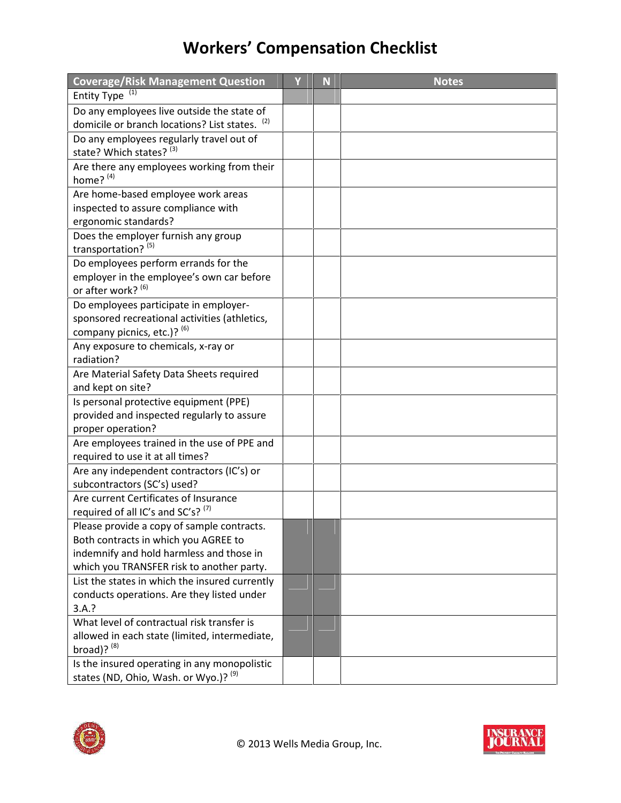## **Workers' Compensation Checklist**

| <b>Coverage/Risk Management Question</b>                                                    | Y | N | <b>Notes</b> |
|---------------------------------------------------------------------------------------------|---|---|--------------|
| (1)<br><b>Entity Type</b>                                                                   |   |   |              |
| Do any employees live outside the state of                                                  |   |   |              |
| domicile or branch locations? List states. (2)                                              |   |   |              |
| Do any employees regularly travel out of                                                    |   |   |              |
| state? Which states? (3)                                                                    |   |   |              |
| Are there any employees working from their                                                  |   |   |              |
| home? <sup>(4)</sup>                                                                        |   |   |              |
| Are home-based employee work areas                                                          |   |   |              |
| inspected to assure compliance with                                                         |   |   |              |
| ergonomic standards?                                                                        |   |   |              |
| Does the employer furnish any group                                                         |   |   |              |
| transportation? (5)                                                                         |   |   |              |
| Do employees perform errands for the                                                        |   |   |              |
| employer in the employee's own car before<br>or after work? (6)                             |   |   |              |
| Do employees participate in employer-                                                       |   |   |              |
| sponsored recreational activities (athletics,                                               |   |   |              |
| company picnics, etc.)? (6)                                                                 |   |   |              |
| Any exposure to chemicals, x-ray or                                                         |   |   |              |
| radiation?                                                                                  |   |   |              |
| Are Material Safety Data Sheets required                                                    |   |   |              |
| and kept on site?                                                                           |   |   |              |
| Is personal protective equipment (PPE)                                                      |   |   |              |
| provided and inspected regularly to assure                                                  |   |   |              |
| proper operation?                                                                           |   |   |              |
| Are employees trained in the use of PPE and                                                 |   |   |              |
| required to use it at all times?                                                            |   |   |              |
| Are any independent contractors (IC's) or                                                   |   |   |              |
| subcontractors (SC's) used?                                                                 |   |   |              |
| Are current Certificates of Insurance                                                       |   |   |              |
| required of all IC's and SC's? (7)                                                          |   |   |              |
| Please provide a copy of sample contracts.                                                  |   |   |              |
| Both contracts in which you AGREE to                                                        |   |   |              |
| indemnify and hold harmless and those in                                                    |   |   |              |
| which you TRANSFER risk to another party.<br>List the states in which the insured currently |   |   |              |
|                                                                                             |   |   |              |
| conducts operations. Are they listed under<br>3.A.?                                         |   |   |              |
| What level of contractual risk transfer is                                                  |   |   |              |
| allowed in each state (limited, intermediate,                                               |   |   |              |
| broad)? (8)                                                                                 |   |   |              |
| Is the insured operating in any monopolistic                                                |   |   |              |
| states (ND, Ohio, Wash. or Wyo.)? <sup>(9)</sup>                                            |   |   |              |



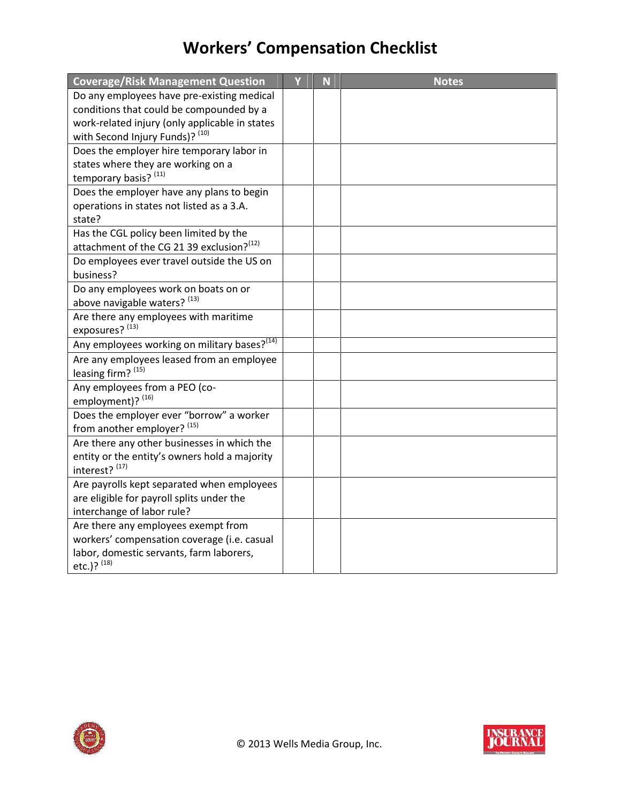## **Workers' Compensation Checklist**

| <b>Coverage/Risk Management Question</b>                        | Ÿ | N | <b>Notes</b> |
|-----------------------------------------------------------------|---|---|--------------|
| Do any employees have pre-existing medical                      |   |   |              |
| conditions that could be compounded by a                        |   |   |              |
| work-related injury (only applicable in states                  |   |   |              |
| with Second Injury Funds)? (10)                                 |   |   |              |
| Does the employer hire temporary labor in                       |   |   |              |
| states where they are working on a<br>temporary basis? (11)     |   |   |              |
| Does the employer have any plans to begin                       |   |   |              |
| operations in states not listed as a 3.A.<br>state?             |   |   |              |
| Has the CGL policy been limited by the                          |   |   |              |
| attachment of the CG 21 39 exclusion? (12)                      |   |   |              |
| Do employees ever travel outside the US on<br>business?         |   |   |              |
| Do any employees work on boats on or                            |   |   |              |
| above navigable waters? (13)                                    |   |   |              |
| Are there any employees with maritime                           |   |   |              |
| exposures? (13)                                                 |   |   |              |
| Any employees working on military bases? <sup>(14)</sup>        |   |   |              |
| Are any employees leased from an employee<br>leasing firm? (15) |   |   |              |
| Any employees from a PEO (co-<br>employment)? (16)              |   |   |              |
| Does the employer ever "borrow" a worker                        |   |   |              |
| from another employer? (15)                                     |   |   |              |
| Are there any other businesses in which the                     |   |   |              |
| entity or the entity's owners hold a majority<br>interest? (17) |   |   |              |
| Are payrolls kept separated when employees                      |   |   |              |
| are eligible for payroll splits under the                       |   |   |              |
| interchange of labor rule?                                      |   |   |              |
| Are there any employees exempt from                             |   |   |              |
| workers' compensation coverage (i.e. casual                     |   |   |              |
| labor, domestic servants, farm laborers,<br>etc.)? (18)         |   |   |              |